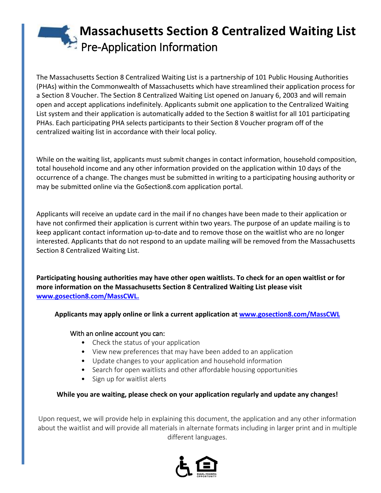# **Massachusetts Section 8 Centralized Waiting List** Pre-Application Information

The Massachusetts Section 8 Centralized Waiting List is a partnership of 101 Public Housing Authorities (PHAs) within the Commonwealth of Massachusetts which have streamlined their application process for a Section 8 Voucher. The Section 8 Centralized Waiting List opened on January 6, 2003 and will remain open and accept applications indefinitely. Applicants submit one application to the Centralized Waiting List system and their application is automatically added to the Section 8 waitlist for all 101 participating PHAs. Each participating PHA selects participants to their Section 8 Voucher program off of the centralized waiting list in accordance with their local policy.

While on the waiting list, applicants must submit changes in contact information, household composition, total household income and any other information provided on the application within 10 days of the occurrence of a change. The changes must be submitted in writing to a participating housing authority or may be submitted online via the GoSection8.com application portal.

Applicants will receive an update card in the mail if no changes have been made to their application or have not confirmed their application is current within two years. The purpose of an update mailing is to keep applicant contact information up-to-date and to remove those on the waitlist who are no longer interested. Applicants that do not respond to an update mailing will be removed from the Massachusetts Section 8 Centralized Waiting List.

**Participating housing authorities may have other open waitlists. To check for an open waitlist or for more information on the Massachusetts Section 8 Centralized Waiting List please visit [www.gosection8.com/MassCWL.](http://www.gosection8.com/MassCWL)**

**Applicants may apply online or link a current application a[t www.gosection8.com/MassCWL](http://www.gosection8.com/MassCWL)**

# With an online account you can:

- Check the status of your application
- View new preferences that may have been added to an application
- Update changes to your application and household information
- Search for open waitlists and other affordable housing opportunities
- Sign up for waitlist alerts

# **While you are waiting, please check on your application regularly and update any changes!**

Upon request, we will provide help in explaining this document, the application and any other information about the waitlist and will provide all materials in alternate formats including in larger print and in multiple different languages.

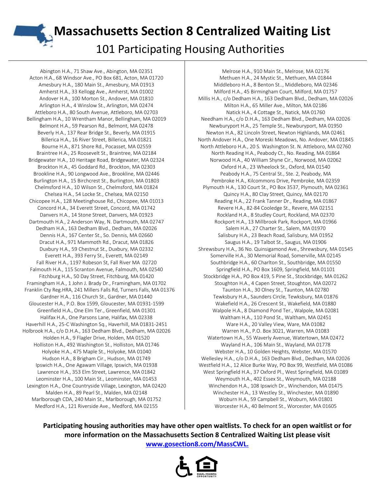**Massachusetts Section 8 Centralized Waiting List** 

101 Participating Housing Authorities

Abington H.A., 71 Shaw Ave., Abington, MA 02351 Acton H.A., 68 Windsor Ave., PO Box 681, Acton, MA 01720 Amesbury H.A., 180 Main St., Amesbury, MA 01913 Amherst H.A., 33 Kellogg Ave., Amherst, MA 01002 Andover H.A., 100 Morton St., Andover, MA 01810 Arlington H.A., 4 Winslow St., Arlington, MA 02474 Attleboro H.A., 80 South Avenue, Attleboro, MA 02703 Bellingham H.A., 10 Wrentham Manor, Bellingham, MA 02019 Belmont H.A., 59 Pearson Rd., Belmont, MA 02478 Beverly H.A., 137 Rear Bridge St., Beverly, MA 01915 Billerica H.A., 16 River Street, Billerica, MA 01821 Bourne H.A., 871 Shore Rd., Pocasset, MA 02559 Braintree H.A., 25 Roosevelt St., Braintree, MA 02184 Bridgewater H.A., 10 Heritage Road, Bridgewater, MA 02324 Brockton H.A., 45 Goddard Rd., Brockton, MA 02303 Brookline H.A., 90 Longwood Ave., Brookline, MA 02446 Burlington H.A., 15 Birchcrest St., Burlington, MA 01803 Chelmsford H.A., 10 Wilson St., Chelmsford, MA 01824 Chelsea H.A., 54 Locke St., Chelsea, MA 02150 Chicopee H.A., 128 Meetinghouse Rd., Chicopee, MA 01013 Concord H.A., 34 Everett Street, Concord, MA 01742 Danvers H.A., 14 Stone Street, Danvers, MA 01923 Dartmouth H.A., 2 Anderson Way, N. Dartmouth, MA 02747 Dedham H.A., 163 Dedham Blvd., Dedham, MA 02026 Dennis H.A., 167 Center St., So. Dennis, MA 02660 Dracut H.A., 971 Mammoth Rd., Dracut, MA 01826 Duxbury H.A., 59 Chestnut St., Duxbury, MA 02332 Everett H.A., 393 Ferry St., Everett, MA 02149 Fall River H.A., 1197 Robeson St, Fall River MA 02720 Falmouth H.A., 115 Scranton Avenue, Falmouth, MA 02540 Fitchburg H.A., 50 Day Street, Fitchburg, MA 01420 Framingham H.A., 1 John J. Brady Dr., Framingham, MA 01702 Franklin Cty Reg.HRA, 241 Millers Falls Rd, Turners Falls, MA 01376 Gardner H.A., 116 Church St., Gardner, MA 01440 Gloucester H.A., P.O. Box 1599, Gloucester, MA 01931-1599 Greenfield H.A., One Elm Ter., Greenfield, MA 01301 Halifax H.A., One Parsons Lane, Halifax, MA 02338 Haverhill H.A., 25-C Washington Sq., Haverhill, MA 01831-2451 Holbrook H.A., c/o D.H.A., 163 Dedham Blvd., Dedham, MA 02026 Holden H.A., 9 Flagler Drive, Holden, MA 01520 Holliston H.A., 492 Washington St., Holliston, MA 01746 Holyoke H.A., 475 Maple St., Holyoke, MA 01040 Hudson H.A., 8 Brigham Cir., Hudson, MA 01749 Ipswich H.A., One Agawam Village, Ipswich, MA 01938 Lawrence H.A., 353 Elm Street, Lawrence, MA 01842 Leominster H.A., 100 Main St., Leominster, MA 01453 Lexington H.A., One Countryside Village, Lexington, MA 02420 Malden H.A., 89 Pearl St., Malden, MA 02148 Marlborough CDA, 240 Main St., Marlborough, MA 01752 Medford H.A., 121 Riverside Ave., Medford, MA 02155

Melrose H.A., 910 Main St., Melrose, MA 02176 Methuen H.A., 24 Mystic St., Methuen, MA 01844 Middleboro H.A., 8 Benton St.., Middleboro, MA 02346 Milford H.A., 45 Birmingham Court, Milford, MA 01757 Millis H.A., c/o Dedham H.A., 163 Dedham Blvd., Dedham, MA 02026 Milton H.A., 65 Miller Ave., Milton, MA 02186 Natick H.A., 4 Cottage St., Natick, MA 01760 Needham H.A., c/o D.H.A., 163 Dedham Blvd., Dedham, MA 02026 Newburyport H.A., 25 Temple St., Newburyport, MA 01950 Newton H.A., 82 Lincoln Street, Newton Highlands, MA 02461 North Andover H.A., One Moreski Meadows, No. Andover, MA 01845 North Attleboro H.A., 20 S. Washington St. N. Attleboro, MA 02760 North Reading H.A., Peabody Ct., No. Reading, MA 01864 Norwood H.A., 40 William Shyne Cir., Norwood, MA 02062 Oxford H.A., 23 Wheelock St., Oxford, MA 01540 Peabody H.A., 75 Central St., Ste. 2, Peabody, MA Pembroke H.A., Kilcommons Drive, Pembroke, MA 02359 Plymouth H.A., 130 Court St., PO Box 3537, Plymouth, MA 02361 Quincy H.A., 80 Clay Street, Quincy, MA 02170 Reading H.A., 22 Frank Tanner Dr., Reading, MA 01867 Revere H.A., 82-84 Cooledge St., Revere, MA 02151 Rockland H.A., 8 Studley Court, Rockland, MA 02370 Rockport H.A., 13 Millbrook Park, Rockport, MA 01966 Salem H.A., 27 Charter St., Salem, MA 01970 Salisbury H.A., 23 Beach Road, Salisbury, MA 01952 Saugus H.A., 19 Talbot St., Saugus, MA 01906 Shrewsbury H.A., 36 No. Quinsigamond Ave., Shrewsbury, MA 01545 Somerville H.A., 30 Memorial Road, Somerville, MA 02145 Southbridge H.A., 60 Charlton St., Southbridge, MA 01550 Springfield H.A., PO Box 1609, Springfield, MA 01101 Stockbridge H.A., PO Box 419, 5 Pine St., Stockbridge, MA 01262 Stoughton H.A., 4 Capen Street, Stoughton, MA 02072 Taunton H.A., 30 Olney St., Taunton, MA 02780 Tewksbury H.A., Saunders Circle, Tewksbury, MA 01876 Wakefield H.A., 26 Crescent St., Wakefield, MA 01880 Walpole H.A., 8 Diamond Pond Ter., Walpole, MA 02081 Waltham H.A., 110 Pond St., Waltham, MA 02451 Ware H.A., 20 Valley View, Ware, MA 01082 Warren H.A., P.O. Box 3021, Warren, MA 01083 Watertown H.A., 55 Waverly Avenue, Watertown, MA 02472 Wayland H.A., 106 Main St., Wayland, MA 01778 Webster H.A., 10 Golden Heights, Webster, MA 01570 Wellesley H.A., c/o D.H.A., 163 Dedham Blvd., Dedham, MA 02026 Westfield H.A., 12 Alice Burke Way, PO Box 99, Westfield, MA 01086 West Springfield H.A., 37 Oxford Pl., West Springfield, MA 01089 Weymouth H.A., 402 Essex St., Weymouth, MA 02188 Winchendon H.A., 108 Ipswich Dr., Winchendon, MA 01475 Winchester H.A., 13 Westley St., Winchester, MA 01890 Woburn H.A., 59 Campbell St., Woburn, MA 01801 Worcester H.A., 40 Belmont St., Worcester, MA 01605

**Participating housing authorities may have other open waitlists. To check for an open waitlist or for more information on the Massachusetts Section 8 Centralized Waiting List please visit [www.gosection8.com/MassCWL.](http://www.gosection8.com/MassCWL)**

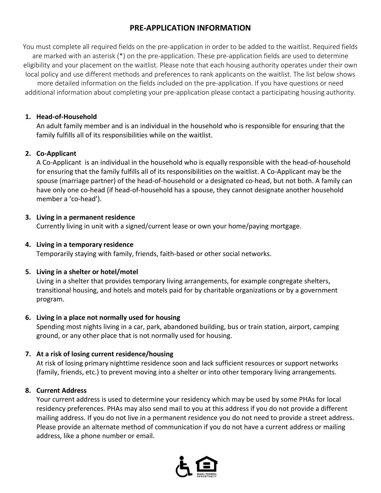# **PRE-APPLICATION INFORMATION**

You must complete all required fields on the pre-application in order to be added to the waitlist. Required fields are marked with an asterisk (\*) on the pre-application. These pre-application fields are used to determine eligibility and your placement on the waitlist. Please note that each housing authority operates under their own local policy and use different methods and preferences to rank applicants on the waitlist. The list below shows

more detailed information on the fields included on the pre-application. If you have questions or need additional information about completing your pre-application please contact a participating housing authority.

## **1. Head-of-Household**

An adult family member and is an individual in the household who is responsible for ensuring that the family fulfills all of its responsibilities while on the waitlist.

# **2. Co-Applicant**

A Co-Applicant is an individual in the household who is equally responsible with the head-of-household for ensuring that the family fulfills all of its responsibilities on the waitlist. A Co-Applicant may be the spouse (marriage partner) of the head-of-household or a designated co-head, but not both. A family can have only one co-head (if head-of-household has a spouse, they cannot designate another household member a 'co-head').

## **3. Living in a permanent residence**

Currently living in unit with a signed/current lease or own your home/paying mortgage.

# **4. Living in a temporary residence**

Temporarily staying with family, friends, faith-based or other social networks.

# **5. Living in a shelter or hotel/motel**

Living in a shelter that provides temporary living arrangements, for example congregate shelters, transitional housing, and hotels and motels paid for by charitable organizations or by a government program.

## **6. Living in a place not normally used for housing**

Spending most nights living in a car, park, abandoned building, bus or train station, airport, camping ground, or any other place that is not normally used for housing.

# **7. At a risk of losing current residence/housing**

At risk of losing primary nighttime residence soon and lack sufficient resources or support networks (family, friends, etc.) to prevent moving into a shelter or into other temporary living arrangements.

# **8. Current Address**

Your current address is used to determine your residency which may be used by some PHAs for local residency preferences. PHAs may also send mail to you at this address if you do not provide a different mailing address. If you do not live in a permanent residence you do not need to provide a street address. Please provide an alternate method of communication if you do not have a current address or mailing address, like a phone number or email.

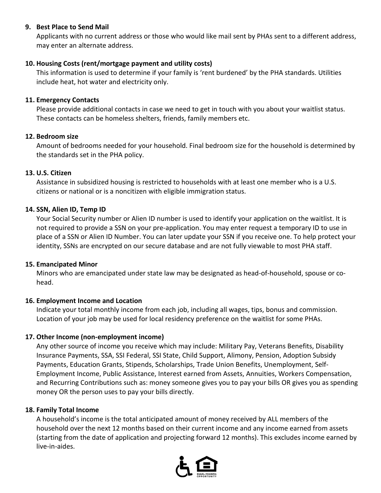#### **9. Best Place to Send Mail**

Applicants with no current address or those who would like mail sent by PHAs sent to a different address, may enter an alternate address.

#### **10. Housing Costs (rent/mortgage payment and utility costs)**

This information is used to determine if your family is 'rent burdened' by the PHA standards. Utilities include heat, hot water and electricity only.

#### **11. Emergency Contacts**

Please provide additional contacts in case we need to get in touch with you about your waitlist status. These contacts can be homeless shelters, friends, family members etc.

#### **12. Bedroom size**

Amount of bedrooms needed for your household. Final bedroom size for the household is determined by the standards set in the PHA policy.

#### **13. U.S. Citizen**

Assistance in subsidized housing is restricted to households with at least one member who is a U.S. citizens or national or is a noncitizen with eligible immigration status.

#### **14. SSN, Alien ID, Temp ID**

Your Social Security number or Alien ID number is used to identify your application on the waitlist. It is not required to provide a SSN on your pre-application. You may enter request a temporary ID to use in place of a SSN or Alien ID Number. You can later update your SSN if you receive one. To help protect your identity, SSNs are encrypted on our secure database and are not fully viewable to most PHA staff.

#### **15. Emancipated Minor**

Minors who are emancipated under state law may be designated as head-of-household, spouse or cohead.

#### **16. Employment Income and Location**

Indicate your total monthly income from each job, including all wages, tips, bonus and commission. Location of your job may be used for local residency preference on the waitlist for some PHAs.

## **17. Other Income (non-employment income)**

Any other source of income you receive which may include: Military Pay, Veterans Benefits, Disability Insurance Payments, SSA, SSI Federal, SSI State, Child Support, Alimony, Pension, Adoption Subsidy Payments, Education Grants, Stipends, Scholarships, Trade Union Benefits, Unemployment, Self-Employment Income, Public Assistance, Interest earned from Assets, Annuities, Workers Compensation, and Recurring Contributions such as: money someone gives you to pay your bills OR gives you as spending money OR the person uses to pay your bills directly.

#### **18. Family Total Income**

A household's income is the total anticipated amount of money received by ALL members of the household over the next 12 months based on their current income and any income earned from assets (starting from the date of application and projecting forward 12 months). This excludes income earned by live-in-aides.

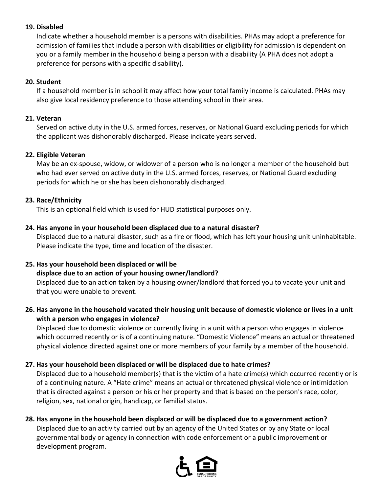## **19. Disabled**

Indicate whether a household member is a persons with disabilities. PHAs may adopt a preference for admission of families that include a person with disabilities or eligibility for admission is dependent on you or a family member in the household being a person with a disability (A PHA does not adopt a preference for persons with a specific disability).

#### **20. Student**

If a household member is in school it may affect how your total family income is calculated. PHAs may also give local residency preference to those attending school in their area.

#### **21. Veteran**

Served on active duty in the U.S. armed forces, reserves, or National Guard excluding periods for which the applicant was dishonorably discharged. Please indicate years served.

#### **22. Eligible Veteran**

May be an ex-spouse, widow, or widower of a person who is no longer a member of the household but who had ever served on active duty in the U.S. armed forces, reserves, or National Guard excluding periods for which he or she has been dishonorably discharged.

#### **23. Race/Ethnicity**

This is an optional field which is used for HUD statistical purposes only.

#### **24. Has anyone in your household been displaced due to a natural disaster?**

Displaced due to a natural disaster, such as a fire or flood, which has left your housing unit uninhabitable. Please indicate the type, time and location of the disaster.

#### **25. Has your household been displaced or will be**

## **displace due to an action of your housing owner/landlord?**

Displaced due to an action taken by a housing owner/landlord that forced you to vacate your unit and that you were unable to prevent.

## **26. Has anyone in the household vacated their housing unit because of domestic violence or lives in a unit with a person who engages in violence?**

Displaced due to domestic violence or currently living in a unit with a person who engages in violence which occurred recently or is of a continuing nature. "Domestic Violence" means an actual or threatened physical violence directed against one or more members of your family by a member of the household.

## **27. Has your household been displaced or will be displaced due to hate crimes?**

Displaced due to a household member(s) that is the victim of a hate crime(s) which occurred recently or is of a continuing nature. A "Hate crime" means an actual or threatened physical violence or intimidation that is directed against a person or his or her property and that is based on the person's race, color, religion, sex, national origin, handicap, or familial status.

#### **28. Has anyone in the household been displaced or will be displaced due to a government action?**

Displaced due to an activity carried out by an agency of the United States or by any State or local governmental body or agency in connection with code enforcement or a public improvement or development program.